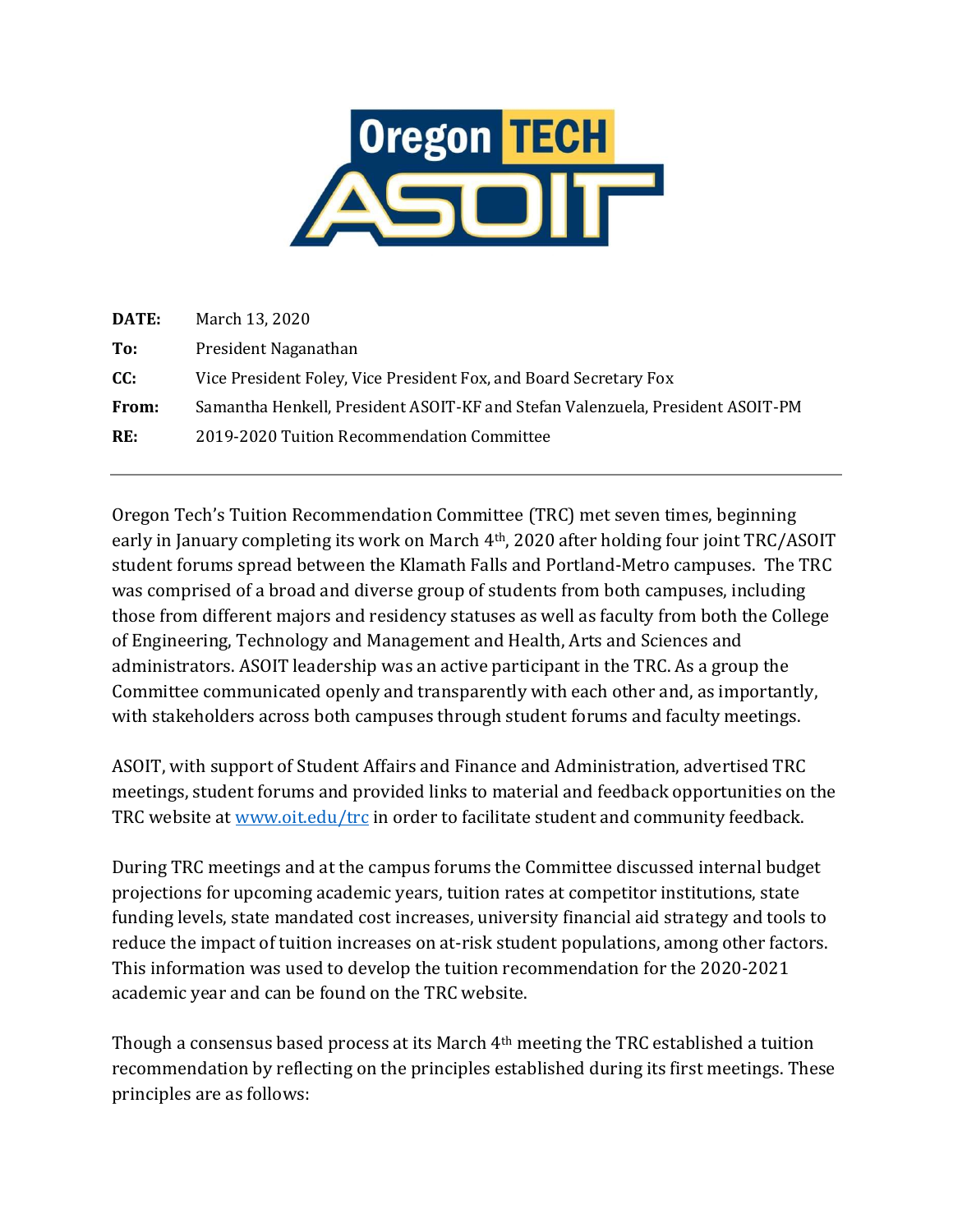

| DATE: | March 13, 2020                                                                 |
|-------|--------------------------------------------------------------------------------|
| To:   | President Naganathan                                                           |
| CC:   | Vice President Foley, Vice President Fox, and Board Secretary Fox              |
| From: | Samantha Henkell, President ASOIT-KF and Stefan Valenzuela, President ASOIT-PM |
| RE:   | 2019-2020 Tuition Recommendation Committee                                     |
|       |                                                                                |

Oregon Tech's Tuition Recommendation Committee (TRC) met seven times, beginning early in January completing its work on March 4th, 2020 after holding four joint TRC/ASOIT student forums spread between the Klamath Falls and Portland-Metro campuses. The TRC was comprised of a broad and diverse group of students from both campuses, including those from different majors and residency statuses as well as faculty from both the College of Engineering, Technology and Management and Health, Arts and Sciences and administrators. ASOIT leadership was an active participant in the TRC. As a group the Committee communicated openly and transparently with each other and, as importantly, with stakeholders across both campuses through student forums and faculty meetings.

ASOIT, with support of Student Affairs and Finance and Administration, advertised TRC meetings, student forums and provided links to material and feedback opportunities on the TRC website at www.oit.edu/trc in order to facilitate student and community feedback.

During TRC meetings and at the campus forums the Committee discussed internal budget projections for upcoming academic years, tuition rates at competitor institutions, state funding levels, state mandated cost increases, university financial aid strategy and tools to reduce the impact of tuition increases on at-risk student populations, among other factors. This information was used to develop the tuition recommendation for the 2020-2021 academic year and can be found on the TRC website.

Though a consensus based process at its March 4th meeting the TRC established a tuition recommendation by reflecting on the principles established during its first meetings. These principles are as follows: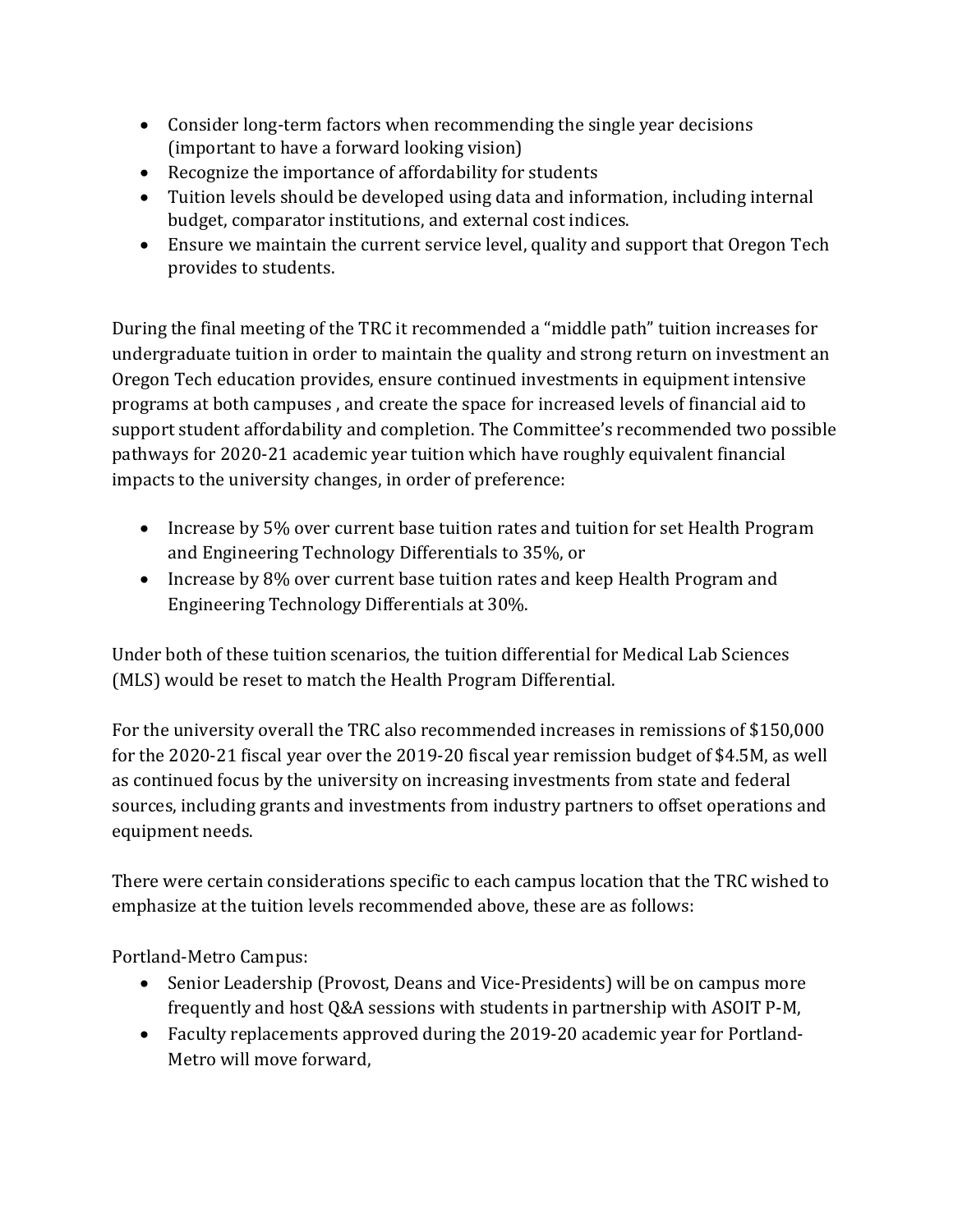- Consider long-term factors when recommending the single year decisions (important to have a forward looking vision)
- Recognize the importance of affordability for students
- Tuition levels should be developed using data and information, including internal budget, comparator institutions, and external cost indices.
- Ensure we maintain the current service level, quality and support that Oregon Tech provides to students.

During the final meeting of the TRC it recommended a "middle path" tuition increases for undergraduate tuition in order to maintain the quality and strong return on investment an Oregon Tech education provides, ensure continued investments in equipment intensive programs at both campuses , and create the space for increased levels of financial aid to support student affordability and completion. The Committee's recommended two possible pathways for 2020-21 academic year tuition which have roughly equivalent financial impacts to the university changes, in order of preference:

- Increase by 5% over current base tuition rates and tuition for set Health Program and Engineering Technology Differentials to 35%, or
- Increase by 8% over current base tuition rates and keep Health Program and Engineering Technology Differentials at 30%.

Under both of these tuition scenarios, the tuition differential for Medical Lab Sciences (MLS) would be reset to match the Health Program Differential.

For the university overall the TRC also recommended increases in remissions of \$150,000 for the 2020-21 fiscal year over the 2019-20 fiscal year remission budget of \$4.5M, as well as continued focus by the university on increasing investments from state and federal sources, including grants and investments from industry partners to offset operations and equipment needs.

There were certain considerations specific to each campus location that the TRC wished to emphasize at the tuition levels recommended above, these are as follows:

Portland-Metro Campus:

- Senior Leadership (Provost, Deans and Vice-Presidents) will be on campus more frequently and host Q&A sessions with students in partnership with ASOIT P-M,
- Faculty replacements approved during the 2019-20 academic year for Portland-Metro will move forward,